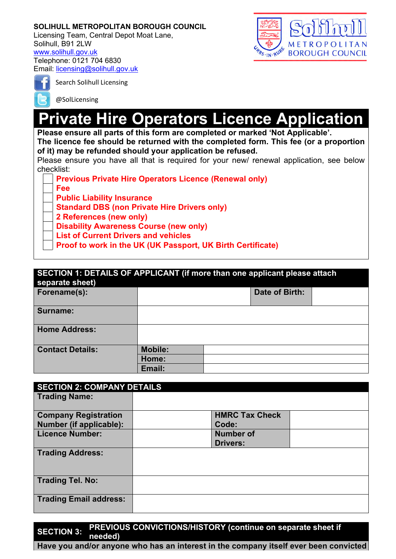## **SOLIHULL METROPOLITAN BOROUGH COUNCIL**

Licensing Team, Central Depot Moat Lane, Solihull, B91 2LW [www.solihull.gov.uk](http://www.solihull.gov.uk/)

Telephone: 0121 704 6830 [Email](http://www.google.co.uk/url?sa=i&rct=j&q=&esrc=s&frm=1&source=images&cd=&cad=rja&uact=8&ved=0ahUKEwi71KzIj_zKAhUEIpoKHZJcBzUQjRwIBw&url=http://bloggers.be/blog/automatische-twitter-en-facebookfeeds-een-goed-idee&psig=AFQjCNGPrrq2aZwB43Aua9UvmV8UeLkrxg&ust=1455706506064214): [licensing@solihull.gov.uk](mailto:licensing@solihull.gov.uk)



Search Solihull Licensing

@SolLicensing

## **Private Hire Operators Licence Application**

**Please ensure all parts of this form are completed or marked 'Not Applicable'. The licence fee should be returned with the completed form. This fee (or a proportion of it) may be refunded should your application be refused.**

Please ensure you have all that is required for your new/ renewal application, see below checklist:

**Previous Private Hire Operators Licence (Renewal only)**

**Fee**

**Public Liability Insurance**

**Standard DBS (non Private Hire Drivers only)**

**2 References (new only)** 

**Disability Awareness Course (new only) 2**

**List of Current Drivers and vehicles**

**Proof to work in the UK (UK Passport, UK Birth Certificate)**

## **SECTION 1: DETAILS OF APPLICANT (if more than one applicant please attach**

| separate sheet)         |                |                |  |
|-------------------------|----------------|----------------|--|
| Forename(s):            |                | Date of Birth: |  |
| Surname:                |                |                |  |
| <b>Home Address:</b>    |                |                |  |
| <b>Contact Details:</b> | <b>Mobile:</b> |                |  |
|                         | Home:          |                |  |
|                         | Email:         |                |  |

| <b>SECTION 2: COMPANY DETAILS</b> |                       |  |
|-----------------------------------|-----------------------|--|
| <b>Trading Name:</b>              |                       |  |
|                                   |                       |  |
| <b>Company Registration</b>       | <b>HMRC Tax Check</b> |  |
| Number (if applicable):           | Code:                 |  |
| <b>Licence Number:</b>            | <b>Number of</b>      |  |
|                                   | <b>Drivers:</b>       |  |
| <b>Trading Address:</b>           |                       |  |
|                                   |                       |  |
|                                   |                       |  |
| <b>Trading Tel. No:</b>           |                       |  |
|                                   |                       |  |
| <b>Trading Email address:</b>     |                       |  |
|                                   |                       |  |

## **SECTION 3: PREVIOUS CONVICTIONS/HISTORY (continue on separate sheet if needed)**

**Have you and/or anyone who has an interest in the company itself ever been convicted**